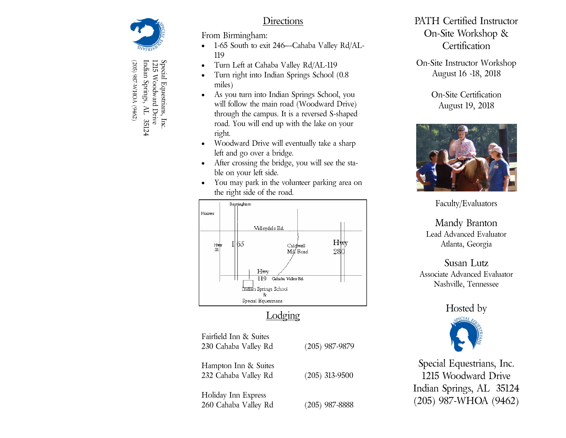

(205) 987-WHOA (9462) Indian Springs, AL 35124 Indian Springs, AL 35124 Special Equestrians, Inc.<br>1215 Woodward Drive 1215 Woodward Drive Special Equestrians, Inc. -WHOA (9462)

## Directions

From Birmingham:

- 1-65 South to exit 246—Cahaba Valley Rd/AL-119
- Turn Left at Cahaba Valley Rd/AL-119
- Turn right into Indian Springs School (0.8 miles)
- As you turn into Indian Springs School, you will follow the main road (Woodward Drive) through the campus. It is a reversed S-shaped road. You will end up with the lake on your right.
- Woodward Drive will eventually take a sharp left and go over a bridge.
- After crossing the bridge, you will see the stable on your left side.
- You may park in the volunteer parking area on the right side of the road.



# **Lodging**

| Fairfield Inn & Suites<br>230 Cahaba Valley Rd | $(205)$ 987-9879 |
|------------------------------------------------|------------------|
| Hampton Inn & Suites<br>232 Cahaba Valley Rd   | $(205)$ 313-9500 |
| Holiday Inn Express<br>260 Cahaba Valley Rd    | $(205)$ 987-8888 |

## PATH Certified Instructor On-Site Workshop & **Certification**

On-Site Instructor Workshop August 16 -18, 2018

> On-Site Certification August 19, 2018



Faculty/Evaluators

Mandy Branton Lead Advanced Evaluator Atlanta, Georgia

#### Susan Lutz Associate Advanced Evaluator Nashville, Tennessee

### Hosted by



Special Equestrians, Inc. 1215 Woodward Drive Indian Springs, AL 35124 (205) 987-WHOA (9462)